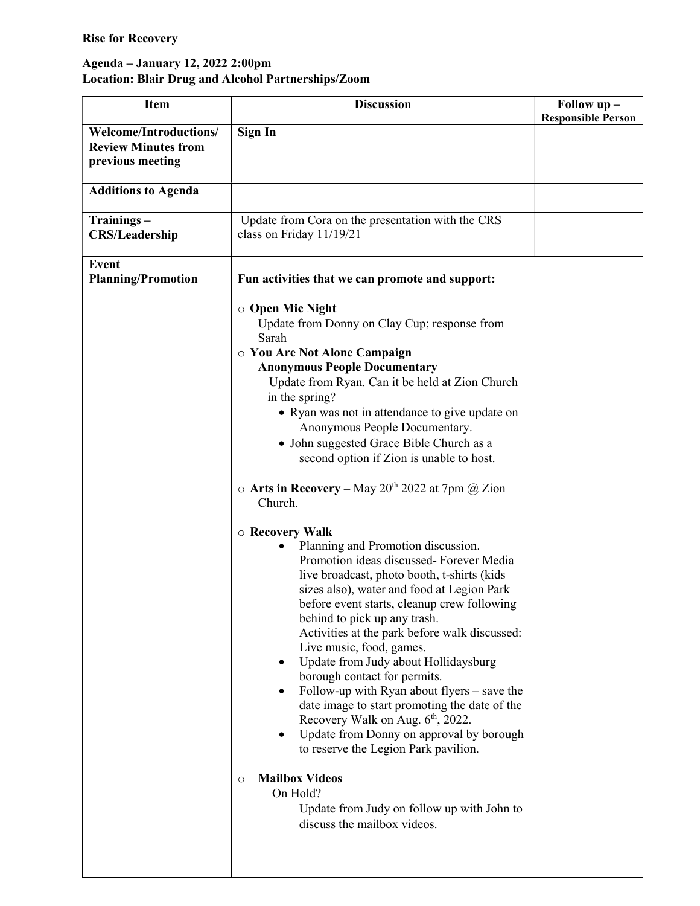## Rise for Recovery

## Agenda – January 12, 2022 2:00pm Location: Blair Drug and Alcohol Partnerships/Zoom

| <b>Item</b>                                                              | <b>Discussion</b>                                                                                                                                                                                                                                                                                                                                                                                                                                                                                                                                                                                                                                                                                                                                                                                                                                                                                                                                                                                                                                                                                                                                                                                                                                                                                                     | Follow up -               |
|--------------------------------------------------------------------------|-----------------------------------------------------------------------------------------------------------------------------------------------------------------------------------------------------------------------------------------------------------------------------------------------------------------------------------------------------------------------------------------------------------------------------------------------------------------------------------------------------------------------------------------------------------------------------------------------------------------------------------------------------------------------------------------------------------------------------------------------------------------------------------------------------------------------------------------------------------------------------------------------------------------------------------------------------------------------------------------------------------------------------------------------------------------------------------------------------------------------------------------------------------------------------------------------------------------------------------------------------------------------------------------------------------------------|---------------------------|
|                                                                          |                                                                                                                                                                                                                                                                                                                                                                                                                                                                                                                                                                                                                                                                                                                                                                                                                                                                                                                                                                                                                                                                                                                                                                                                                                                                                                                       | <b>Responsible Person</b> |
| Welcome/Introductions/<br><b>Review Minutes from</b><br>previous meeting | Sign In                                                                                                                                                                                                                                                                                                                                                                                                                                                                                                                                                                                                                                                                                                                                                                                                                                                                                                                                                                                                                                                                                                                                                                                                                                                                                                               |                           |
| <b>Additions to Agenda</b>                                               |                                                                                                                                                                                                                                                                                                                                                                                                                                                                                                                                                                                                                                                                                                                                                                                                                                                                                                                                                                                                                                                                                                                                                                                                                                                                                                                       |                           |
| Trainings-<br><b>CRS/Leadership</b>                                      | Update from Cora on the presentation with the CRS<br>class on Friday 11/19/21                                                                                                                                                                                                                                                                                                                                                                                                                                                                                                                                                                                                                                                                                                                                                                                                                                                                                                                                                                                                                                                                                                                                                                                                                                         |                           |
| <b>Event</b><br><b>Planning/Promotion</b>                                | Fun activities that we can promote and support:                                                                                                                                                                                                                                                                                                                                                                                                                                                                                                                                                                                                                                                                                                                                                                                                                                                                                                                                                                                                                                                                                                                                                                                                                                                                       |                           |
|                                                                          | $\circ$ Open Mic Night<br>Update from Donny on Clay Cup; response from<br>Sarah<br>O You Are Not Alone Campaign<br><b>Anonymous People Documentary</b><br>Update from Ryan. Can it be held at Zion Church<br>in the spring?<br>• Ryan was not in attendance to give update on<br>Anonymous People Documentary.<br>• John suggested Grace Bible Church as a<br>second option if Zion is unable to host.<br>$\circ$ Arts in Recovery – May 20 <sup>th</sup> 2022 at 7pm @ Zion<br>Church.<br><b>O</b> Recovery Walk<br>Planning and Promotion discussion.<br>Promotion ideas discussed-Forever Media<br>live broadcast, photo booth, t-shirts (kids)<br>sizes also), water and food at Legion Park<br>before event starts, cleanup crew following<br>behind to pick up any trash.<br>Activities at the park before walk discussed:<br>Live music, food, games.<br>Update from Judy about Hollidaysburg<br>$\bullet$<br>borough contact for permits.<br>Follow-up with Ryan about flyers $-$ save the<br>date image to start promoting the date of the<br>Recovery Walk on Aug. 6 <sup>th</sup> , 2022.<br>Update from Donny on approval by borough<br>to reserve the Legion Park pavilion.<br><b>Mailbox Videos</b><br>$\circ$<br>On Hold?<br>Update from Judy on follow up with John to<br>discuss the mailbox videos. |                           |